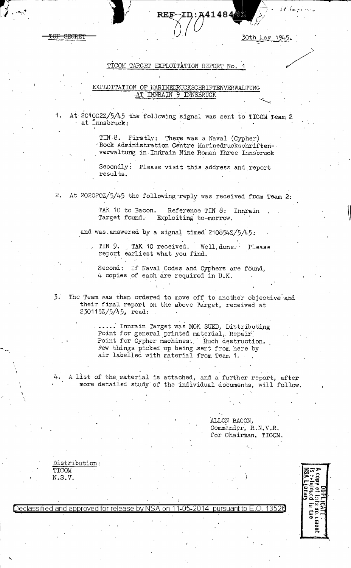30th Lay 1945.

## TICOM TARGET EXPLOITATION REPORT No. 1

REF

41484

## EXPLOITATION OF MARINEDRUCKSCHRIFTENVERWALTUNG AT INNRAIN 9 INNSBRUCK

At 204002Z/5/45 the following signal was sent to TICOM Team 2  $1<sub>1</sub>$ at Innsbruck:

> TIN 8. Firstly: There was a Naval (Cypher) 'Book Administration Centre Marinedruckschriftenverwaltung in Innrain Nine Roman Three Innsbruck

Secondly: Please visit this address and report results.

At 202020Z/5/45 the following reply was received from Team 2:  $2.$ 

> TAK 10 to Bacon. Reference TIN 8: Innrain Target found. Exploiting to-morrow.

and was answered by a signal timed 210854Z/5/45:

TAK 10 received. Well, done. Please TIN 9. report earliest what you find.

Second: If Naval Codes and Cyphers are found, 4 copies of each are required in U.K.

 $3.1$ The Team was then ordered to move off to another objective and their final report on the above Target, received at  $230115Z/5/45$ , read:

> ...... Innrain Target was MOK SUED, Distributing Point for general printed material, Repair Point for Cypher machines. Much destruction. Few things picked up being sent from here by air labelled with material from Team 1.

A list of the material is attached, and a further report, after more detailed study of the individual documents, will follow.

> ALLON BACON, Commander, R.N.V.R. for Chairman, TICOM.

Distribution: TICOM N.S.V.

<del>1707.77</del>

Declassified and approved for release by NSA on 11-05-2014 13526 pursuant to E